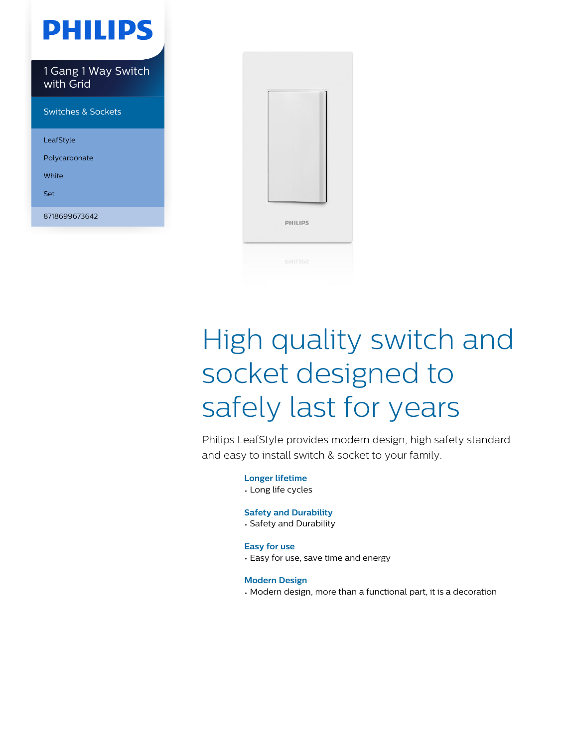

LeafStyle Polycarbonate

White

Set

8718699673642



# High quality switch and socket designed to safely last for years

Philips LeafStyle provides modern design, high safety standard and easy to install switch & socket to your family.

> **Longer lifetime** • Long life cycles

#### **Safety and Durability**

• Safety and Durability

#### **Easy for use**

• Easy for use, save time and energy

**Modern Design**

• Modern design, more than a functional part, it is a decoration